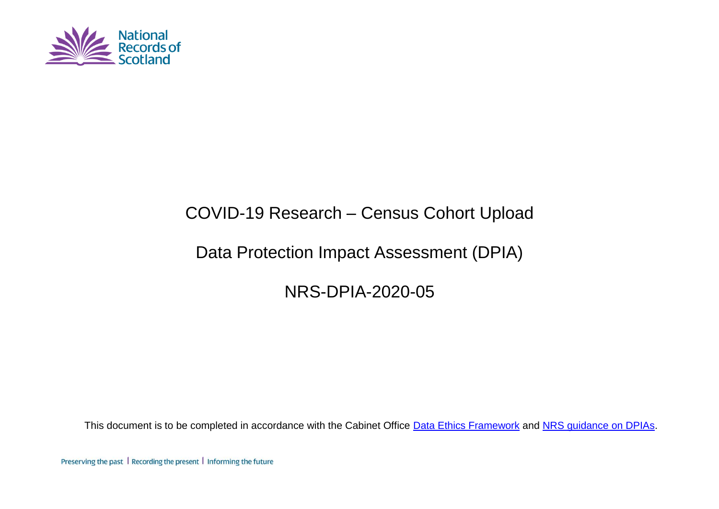

# COVID-19 Research – Census Cohort Upload

# Data Protection Impact Assessment (DPIA)

NRS-DPIA-2020-05

This document is to be completed in accordance with the Cabinet Office [Data Ethics Framework](https://www.gov.uk/government/publications/data-ethics-framework/data-ethics-framework) and [NRS guidance on DPIAs.](https://erdm.scotland.gov.uk:8443/documents/A16760358/details)

Preserving the past | Recording the present | Informing the future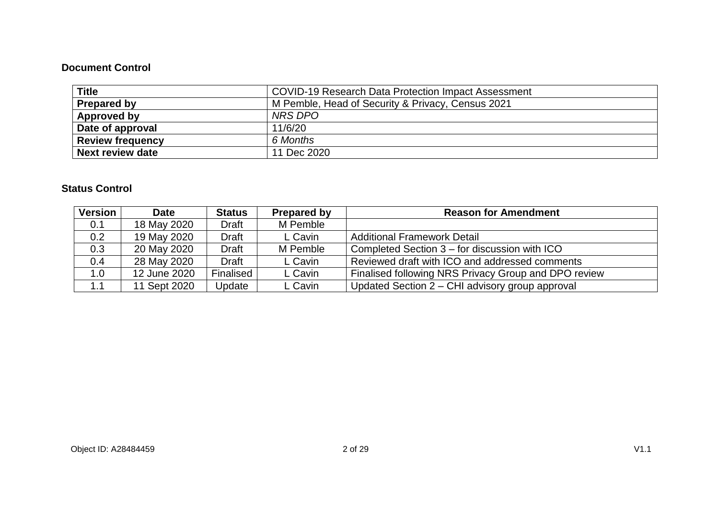#### **Document Control**

| <b>Title</b>            | <b>COVID-19 Research Data Protection Impact Assessment</b> |  |  |
|-------------------------|------------------------------------------------------------|--|--|
| <b>Prepared by</b>      | M Pemble, Head of Security & Privacy, Census 2021          |  |  |
| Approved by             | NRS DPO                                                    |  |  |
| Date of approval        | 11/6/20                                                    |  |  |
| <b>Review frequency</b> | 6 Months                                                   |  |  |
| <b>Next review date</b> | 11 Dec 2020                                                |  |  |

#### **Status Control**

| <b>Version</b> | <b>Date</b>  | <b>Status</b>    | <b>Prepared by</b> | <b>Reason for Amendment</b>                          |
|----------------|--------------|------------------|--------------------|------------------------------------------------------|
| 0.1            | 18 May 2020  | Draft            | M Pemble           |                                                      |
| 0.2            | 19 May 2020  | <b>Draft</b>     | L Cavin            | <b>Additional Framework Detail</b>                   |
| 0.3            | 20 May 2020  | <b>Draft</b>     | M Pemble           | Completed Section 3 – for discussion with ICO        |
| 0.4            | 28 May 2020  | Draft            | L Cavin            | Reviewed draft with ICO and addressed comments       |
| 1.0            | 12 June 2020 | <b>Finalised</b> | L Cavin            | Finalised following NRS Privacy Group and DPO review |
| 1.1            | 11 Sept 2020 | Update           | L Cavin            | Updated Section 2 - CHI advisory group approval      |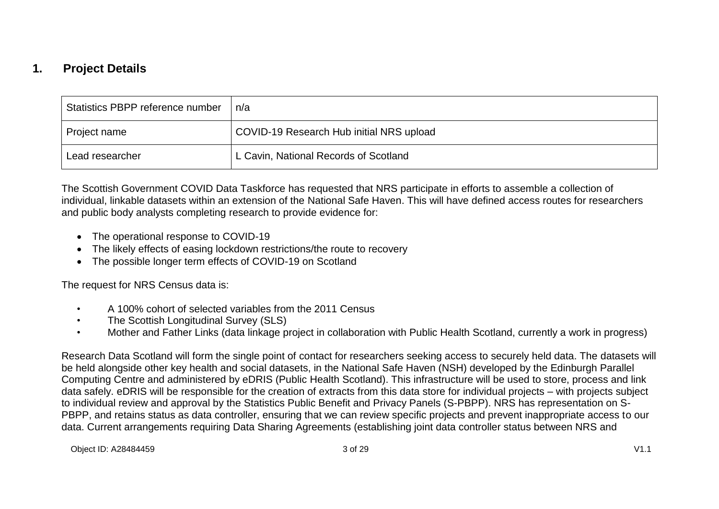### **1. Project Details**

| Statistics PBPP reference number | n/a                                      |
|----------------------------------|------------------------------------------|
| Project name                     | COVID-19 Research Hub initial NRS upload |
| Lead researcher                  | L Cavin, National Records of Scotland    |

The Scottish Government COVID Data Taskforce has requested that NRS participate in efforts to assemble a collection of individual, linkable datasets within an extension of the National Safe Haven. This will have defined access routes for researchers and public body analysts completing research to provide evidence for:

- The operational response to COVID-19
- The likely effects of easing lockdown restrictions/the route to recovery
- The possible longer term effects of COVID-19 on Scotland

The request for NRS Census data is:

- A 100% cohort of selected variables from the 2011 Census
- The Scottish Longitudinal Survey (SLS)
- Mother and Father Links (data linkage project in collaboration with Public Health Scotland, currently a work in progress)

Research Data Scotland will form the single point of contact for researchers seeking access to securely held data. The datasets will be held alongside other key health and social datasets, in the National Safe Haven (NSH) developed by the Edinburgh Parallel Computing Centre and administered by eDRIS (Public Health Scotland). This infrastructure will be used to store, process and link data safely. eDRIS will be responsible for the creation of extracts from this data store for individual projects – with projects subject to individual review and approval by the Statistics Public Benefit and Privacy Panels (S-PBPP). NRS has representation on S-PBPP, and retains status as data controller, ensuring that we can review specific projects and prevent inappropriate access to our data. Current arrangements requiring Data Sharing Agreements (establishing joint data controller status between NRS and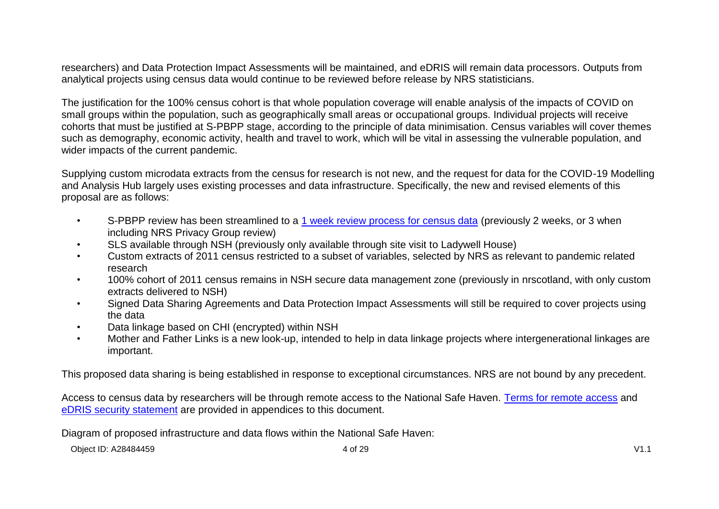researchers) and Data Protection Impact Assessments will be maintained, and eDRIS will remain data processors. Outputs from analytical projects using census data would continue to be reviewed before release by NRS statisticians.

The justification for the 100% census cohort is that whole population coverage will enable analysis of the impacts of COVID on small groups within the population, such as geographically small areas or occupational groups. Individual projects will receive cohorts that must be justified at S-PBPP stage, according to the principle of data minimisation. Census variables will cover themes such as demography, economic activity, health and travel to work, which will be vital in assessing the vulnerable population, and wider impacts of the current pandemic.

Supplying custom microdata extracts from the census for research is not new, and the request for data for the COVID-19 Modelling and Analysis Hub largely uses existing processes and data infrastructure. Specifically, the new and revised elements of this proposal are as follows:

- S-PBPP review has been streamlined to a [1 week review process for census data](https://blogs.gov.scot/statistics/wp-content/uploads/sites/24/2020/05/Covid-19-Scottish-Government-Bespoke-data-access-request-statement-Covid-requests.pdf) (previously 2 weeks, or 3 when including NRS Privacy Group review)
- SLS available through NSH (previously only available through site visit to Ladywell House)
- Custom extracts of 2011 census restricted to a subset of variables, selected by NRS as relevant to pandemic related research
- 100% cohort of 2011 census remains in NSH secure data management zone (previously in nrscotland, with only custom extracts delivered to NSH)
- Signed Data Sharing Agreements and Data Protection Impact Assessments will still be required to cover projects using the data
- Data linkage based on CHI (encrypted) within NSH
- Mother and Father Links is a new look-up, intended to help in data linkage projects where intergenerational linkages are important.

This proposed data sharing is being established in response to exceptional circumstances. NRS are not bound by any precedent.

Access to census data by researchers will be through remote access to the National Safe Haven. [Terms for remote access](#page-22-0) and [eDRIS security statement](#page-24-0) are provided in appendices to this document.

Diagram of proposed infrastructure and data flows within the National Safe Haven: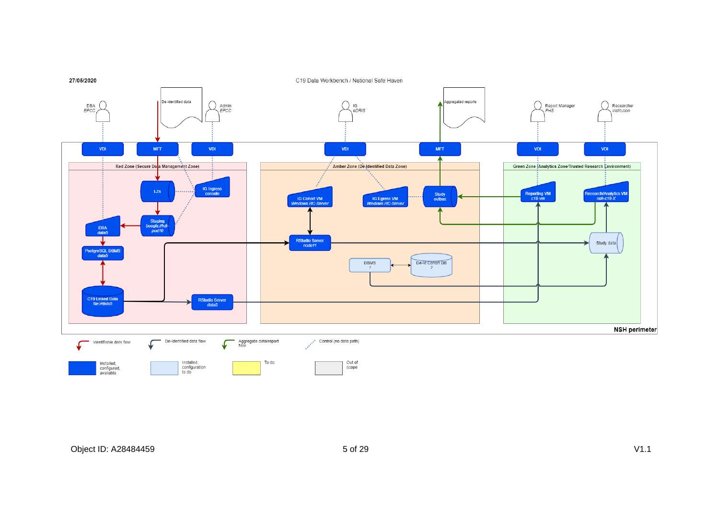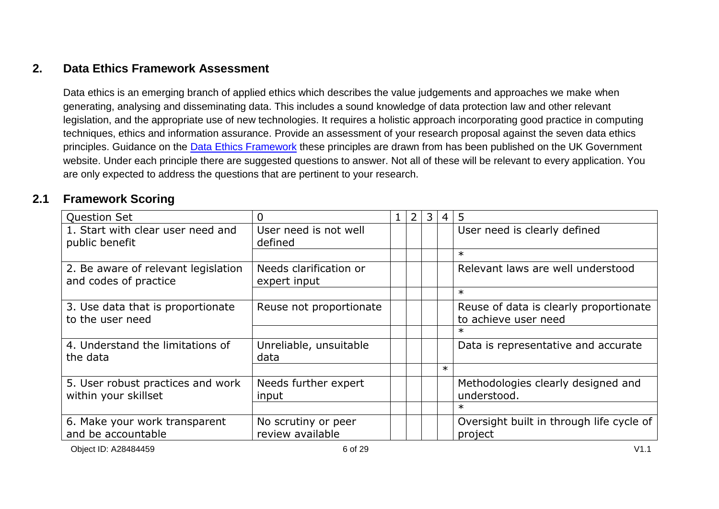### **2. Data Ethics Framework Assessment**

Data ethics is an emerging branch of applied ethics which describes the value judgements and approaches we make when generating, analysing and disseminating data. This includes a sound knowledge of data protection law and other relevant legislation, and the appropriate use of new technologies. It requires a holistic approach incorporating good practice in computing techniques, ethics and information assurance. Provide an assessment of your research proposal against the seven data ethics principles. Guidance on the **Data Ethics Framework** these principles are drawn from has been published on the UK Government website. Under each principle there are suggested questions to answer. Not all of these will be relevant to every application. You are only expected to address the questions that are pertinent to your research.

### **2.1 Framework Scoring**

| <b>Question Set</b>                                          | 0                                       | 2 | 3 | 4      | 5                                                              |
|--------------------------------------------------------------|-----------------------------------------|---|---|--------|----------------------------------------------------------------|
| 1. Start with clear user need and<br>public benefit          | User need is not well<br>defined        |   |   |        | User need is clearly defined                                   |
|                                                              |                                         |   |   |        | $\ast$                                                         |
| 2. Be aware of relevant legislation<br>and codes of practice | Needs clarification or<br>expert input  |   |   |        | Relevant laws are well understood                              |
|                                                              |                                         |   |   |        | $\ast$                                                         |
| 3. Use data that is proportionate<br>to the user need        | Reuse not proportionate                 |   |   |        | Reuse of data is clearly proportionate<br>to achieve user need |
|                                                              |                                         |   |   |        | $\ast$                                                         |
| 4. Understand the limitations of<br>the data                 | Unreliable, unsuitable<br>data          |   |   |        | Data is representative and accurate                            |
|                                                              |                                         |   |   | $\ast$ |                                                                |
| 5. User robust practices and work<br>within your skillset    | Needs further expert<br>input           |   |   |        | Methodologies clearly designed and<br>understood.              |
|                                                              |                                         |   |   |        | $\ast$                                                         |
| 6. Make your work transparent<br>and be accountable          | No scrutiny or peer<br>review available |   |   |        | Oversight built in through life cycle of<br>project            |

Object ID: A28484459 6 of 29 V1.1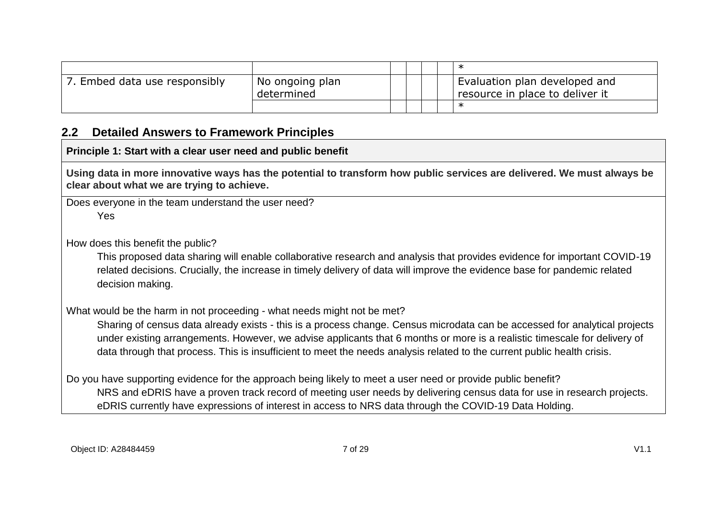| Embed data use responsibly | No ongoing plan<br>determined |  |  | Evaluation plan developed and<br>resource in place to deliver it |
|----------------------------|-------------------------------|--|--|------------------------------------------------------------------|
|                            |                               |  |  |                                                                  |

#### **2.2 Detailed Answers to Framework Principles**

#### **Principle 1: Start with a clear user need and public benefit**

**Using data in more innovative ways has the potential to transform how public services are delivered. We must always be clear about what we are trying to achieve.**

Does everyone in the team understand the user need? Yes

How does this benefit the public?

This proposed data sharing will enable collaborative research and analysis that provides evidence for important COVID-19 related decisions. Crucially, the increase in timely delivery of data will improve the evidence base for pandemic related decision making.

What would be the harm in not proceeding - what needs might not be met?

Sharing of census data already exists - this is a process change. Census microdata can be accessed for analytical projects under existing arrangements. However, we advise applicants that 6 months or more is a realistic timescale for delivery of data through that process. This is insufficient to meet the needs analysis related to the current public health crisis.

Do you have supporting evidence for the approach being likely to meet a user need or provide public benefit? NRS and eDRIS have a proven track record of meeting user needs by delivering census data for use in research projects. eDRIS currently have expressions of interest in access to NRS data through the COVID-19 Data Holding.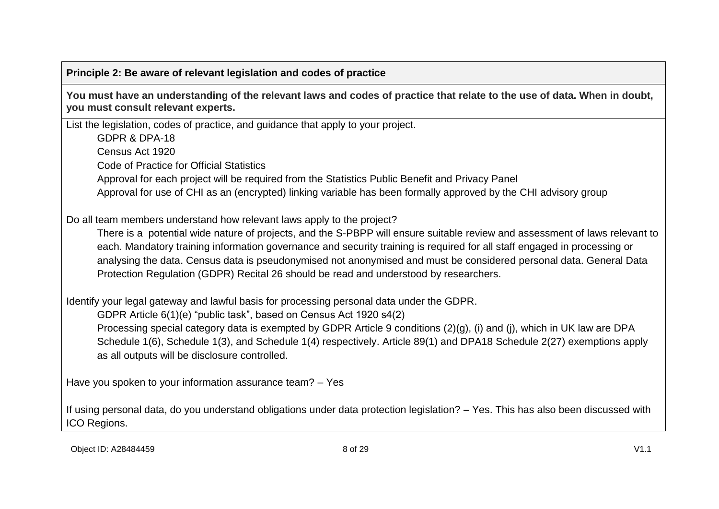#### **Principle 2: Be aware of relevant legislation and codes of practice**

**You must have an understanding of the relevant laws and codes of practice that relate to the use of data. When in doubt, you must consult relevant experts.**

List the legislation, codes of practice, and guidance that apply to your project.

GDPR & DPA-18

Census Act 1920

Code of Practice for Official Statistics

Approval for each project will be required from the Statistics Public Benefit and Privacy Panel

Approval for use of CHI as an (encrypted) linking variable has been formally approved by the CHI advisory group

Do all team members understand how relevant laws apply to the project?

There is a potential wide nature of projects, and the S-PBPP will ensure suitable review and assessment of laws relevant to each. Mandatory training information governance and security training is required for all staff engaged in processing or analysing the data. Census data is pseudonymised not anonymised and must be considered personal data. General Data Protection Regulation (GDPR) Recital 26 should be read and understood by researchers.

Identify your legal gateway and lawful basis for processing personal data under the GDPR.

GDPR Article 6(1)(e) "public task", based on Census Act 1920 s4(2)

Processing special category data is exempted by GDPR Article 9 conditions (2)(g), (i) and (j), which in UK law are DPA Schedule 1(6), Schedule 1(3), and Schedule 1(4) respectively. Article 89(1) and DPA18 Schedule 2(27) exemptions apply as all outputs will be disclosure controlled.

Have you spoken to your information assurance team? – Yes

If using personal data, do you understand obligations under data protection legislation? – Yes. This has also been discussed with ICO Regions.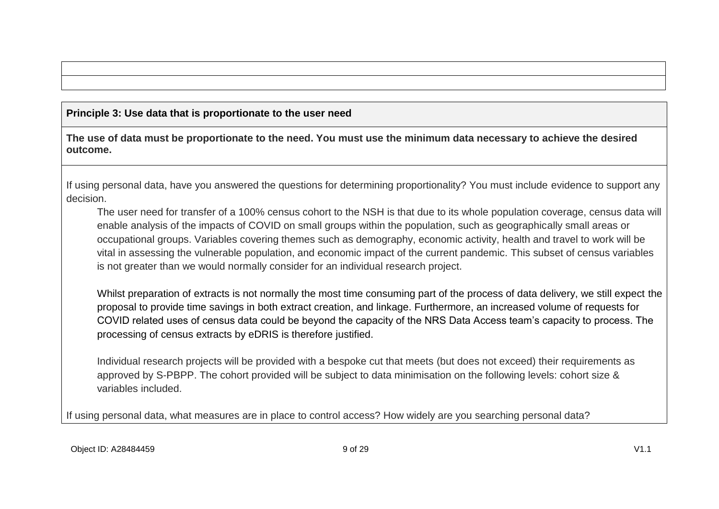#### **Principle 3: Use data that is proportionate to the user need**

**The use of data must be proportionate to the need. You must use the minimum data necessary to achieve the desired outcome.**

If using personal data, have you answered the questions for determining proportionality? You must include evidence to support any decision.

The user need for transfer of a 100% census cohort to the NSH is that due to its whole population coverage, census data will enable analysis of the impacts of COVID on small groups within the population, such as geographically small areas or occupational groups. Variables covering themes such as demography, economic activity, health and travel to work will be vital in assessing the vulnerable population, and economic impact of the current pandemic. This subset of census variables is not greater than we would normally consider for an individual research project.

Whilst preparation of extracts is not normally the most time consuming part of the process of data delivery, we still expect the proposal to provide time savings in both extract creation, and linkage. Furthermore, an increased volume of requests for COVID related uses of census data could be beyond the capacity of the NRS Data Access team's capacity to process. The processing of census extracts by eDRIS is therefore justified.

Individual research projects will be provided with a bespoke cut that meets (but does not exceed) their requirements as approved by S-PBPP. The cohort provided will be subject to data minimisation on the following levels: cohort size & variables included.

If using personal data, what measures are in place to control access? How widely are you searching personal data?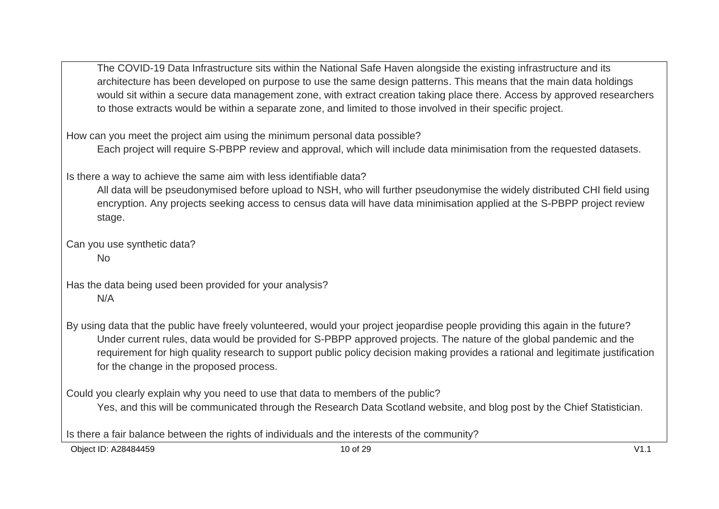The COVID-19 Data Infrastructure sits within the National Safe Haven alongside the existing infrastructure and its architecture has been developed on purpose to use the same design patterns. This means that the main data holdings would sit within a secure data management zone, with extract creation taking place there. Access by approved researchers to those extracts would be within a separate zone, and limited to those involved in their specific project.

How can you meet the project aim using the minimum personal data possible?

Each project will require S-PBPP review and approval, which will include data minimisation from the requested datasets.

Is there a way to achieve the same aim with less identifiable data?

All data will be pseudonymised before upload to NSH, who will further pseudonymise the widely distributed CHI field using encryption. Any projects seeking access to census data will have data minimisation applied at the S-PBPP project review stage.

Can you use synthetic data?

No

Has the data being used been provided for your analysis? N/A

By using data that the public have freely volunteered, would your project jeopardise people providing this again in the future? Under current rules, data would be provided for S-PBPP approved projects. The nature of the global pandemic and the requirement for high quality research to support public policy decision making provides a rational and legitimate justification for the change in the proposed process.

Could you clearly explain why you need to use that data to members of the public?

Yes, and this will be communicated through the Research Data Scotland website, and blog post by the Chief Statistician.

Is there a fair balance between the rights of individuals and the interests of the community?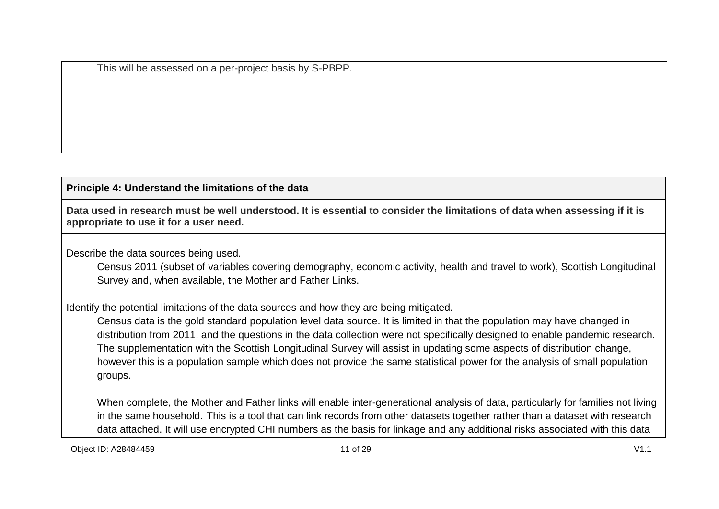This will be assessed on a per-project basis by S-PBPP.

#### **Principle 4: Understand the limitations of the data**

**Data used in research must be well understood. It is essential to consider the limitations of data when assessing if it is appropriate to use it for a user need.**

Describe the data sources being used.

Census 2011 (subset of variables covering demography, economic activity, health and travel to work), Scottish Longitudinal Survey and, when available, the Mother and Father Links.

Identify the potential limitations of the data sources and how they are being mitigated.

Census data is the gold standard population level data source. It is limited in that the population may have changed in distribution from 2011, and the questions in the data collection were not specifically designed to enable pandemic research. The supplementation with the Scottish Longitudinal Survey will assist in updating some aspects of distribution change, however this is a population sample which does not provide the same statistical power for the analysis of small population groups.

When complete, the Mother and Father links will enable inter-generational analysis of data, particularly for families not living in the same household. This is a tool that can link records from other datasets together rather than a dataset with research data attached. It will use encrypted CHI numbers as the basis for linkage and any additional risks associated with this data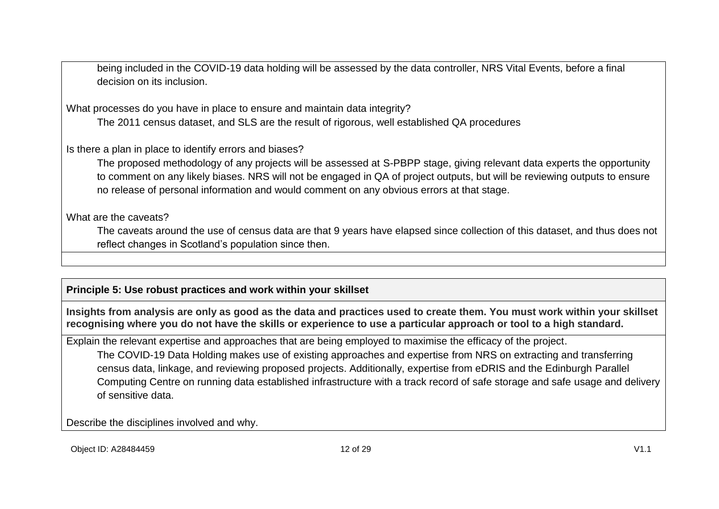being included in the COVID-19 data holding will be assessed by the data controller, NRS Vital Events, before a final decision on its inclusion.

What processes do you have in place to ensure and maintain data integrity?

The 2011 census dataset, and SLS are the result of rigorous, well established QA procedures

Is there a plan in place to identify errors and biases?

The proposed methodology of any projects will be assessed at S-PBPP stage, giving relevant data experts the opportunity to comment on any likely biases. NRS will not be engaged in QA of project outputs, but will be reviewing outputs to ensure no release of personal information and would comment on any obvious errors at that stage.

What are the caveats?

The caveats around the use of census data are that 9 years have elapsed since collection of this dataset, and thus does not reflect changes in Scotland's population since then.

#### **Principle 5: Use robust practices and work within your skillset**

**Insights from analysis are only as good as the data and practices used to create them. You must work within your skillset recognising where you do not have the skills or experience to use a particular approach or tool to a high standard.**

Explain the relevant expertise and approaches that are being employed to maximise the efficacy of the project.

The COVID-19 Data Holding makes use of existing approaches and expertise from NRS on extracting and transferring census data, linkage, and reviewing proposed projects. Additionally, expertise from eDRIS and the Edinburgh Parallel Computing Centre on running data established infrastructure with a track record of safe storage and safe usage and delivery of sensitive data.

Describe the disciplines involved and why.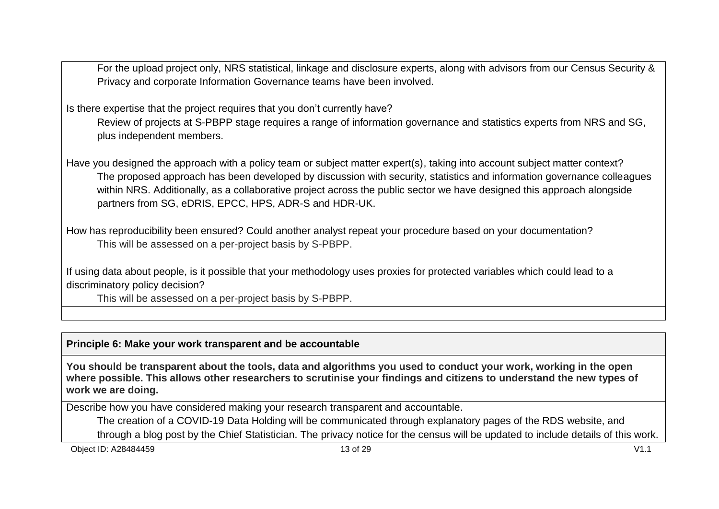For the upload project only, NRS statistical, linkage and disclosure experts, along with advisors from our Census Security & Privacy and corporate Information Governance teams have been involved.

Is there expertise that the project requires that you don't currently have?

Review of projects at S-PBPP stage requires a range of information governance and statistics experts from NRS and SG, plus independent members.

Have you designed the approach with a policy team or subject matter expert(s), taking into account subject matter context? The proposed approach has been developed by discussion with security, statistics and information governance colleagues within NRS. Additionally, as a collaborative project across the public sector we have designed this approach alongside partners from SG, eDRIS, EPCC, HPS, ADR-S and HDR-UK.

How has reproducibility been ensured? Could another analyst repeat your procedure based on your documentation? This will be assessed on a per-project basis by S-PBPP.

If using data about people, is it possible that your methodology uses proxies for protected variables which could lead to a discriminatory policy decision?

This will be assessed on a per-project basis by S-PBPP.

#### **Principle 6: Make your work transparent and be accountable**

**You should be transparent about the tools, data and algorithms you used to conduct your work, working in the open where possible. This allows other researchers to scrutinise your findings and citizens to understand the new types of work we are doing.**

Describe how you have considered making your research transparent and accountable.

The creation of a COVID-19 Data Holding will be communicated through explanatory pages of the RDS website, and through a blog post by the Chief Statistician. The privacy notice for the census will be updated to include details of this work.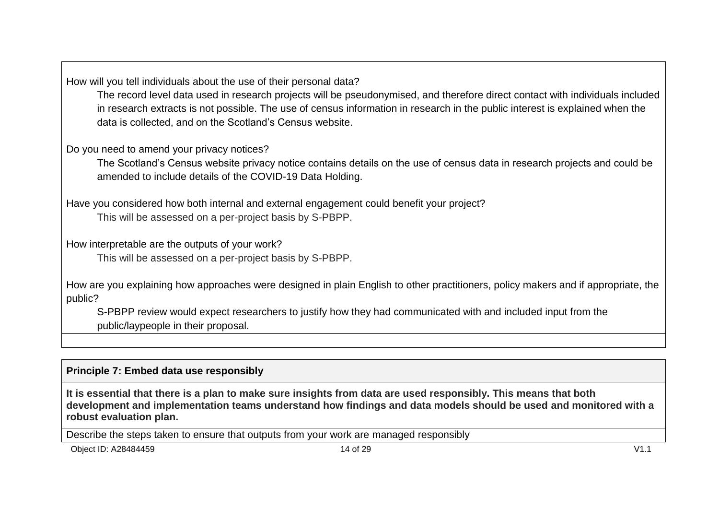How will you tell individuals about the use of their personal data?

The record level data used in research projects will be pseudonymised, and therefore direct contact with individuals included in research extracts is not possible. The use of census information in research in the public interest is explained when the data is collected, and on the Scotland's Census website.

Do you need to amend your privacy notices?

The Scotland's Census website privacy notice contains details on the use of census data in research projects and could be amended to include details of the COVID-19 Data Holding.

Have you considered how both internal and external engagement could benefit your project? This will be assessed on a per-project basis by S-PBPP.

How interpretable are the outputs of your work?

This will be assessed on a per-project basis by S-PBPP.

How are you explaining how approaches were designed in plain English to other practitioners, policy makers and if appropriate, the public?

S-PBPP review would expect researchers to justify how they had communicated with and included input from the public/laypeople in their proposal.

#### **Principle 7: Embed data use responsibly**

**It is essential that there is a plan to make sure insights from data are used responsibly. This means that both development and implementation teams understand how findings and data models should be used and monitored with a robust evaluation plan.**

Describe the steps taken to ensure that outputs from your work are managed responsibly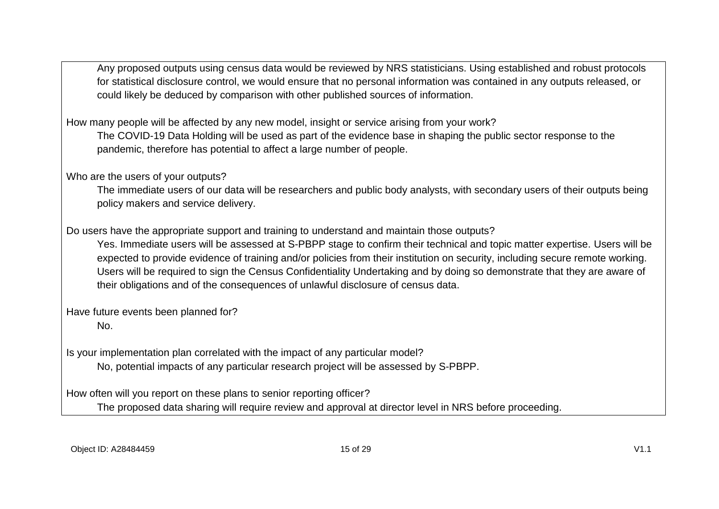Any proposed outputs using census data would be reviewed by NRS statisticians. Using established and robust protocols for statistical disclosure control, we would ensure that no personal information was contained in any outputs released, or could likely be deduced by comparison with other published sources of information.

How many people will be affected by any new model, insight or service arising from your work? The COVID-19 Data Holding will be used as part of the evidence base in shaping the public sector response to the pandemic, therefore has potential to affect a large number of people.

Who are the users of your outputs?

The immediate users of our data will be researchers and public body analysts, with secondary users of their outputs being policy makers and service delivery.

Do users have the appropriate support and training to understand and maintain those outputs?

Yes. Immediate users will be assessed at S-PBPP stage to confirm their technical and topic matter expertise. Users will be expected to provide evidence of training and/or policies from their institution on security, including secure remote working. Users will be required to sign the Census Confidentiality Undertaking and by doing so demonstrate that they are aware of their obligations and of the consequences of unlawful disclosure of census data.

Have future events been planned for? No.

Is your implementation plan correlated with the impact of any particular model?

No, potential impacts of any particular research project will be assessed by S-PBPP.

How often will you report on these plans to senior reporting officer?

The proposed data sharing will require review and approval at director level in NRS before proceeding.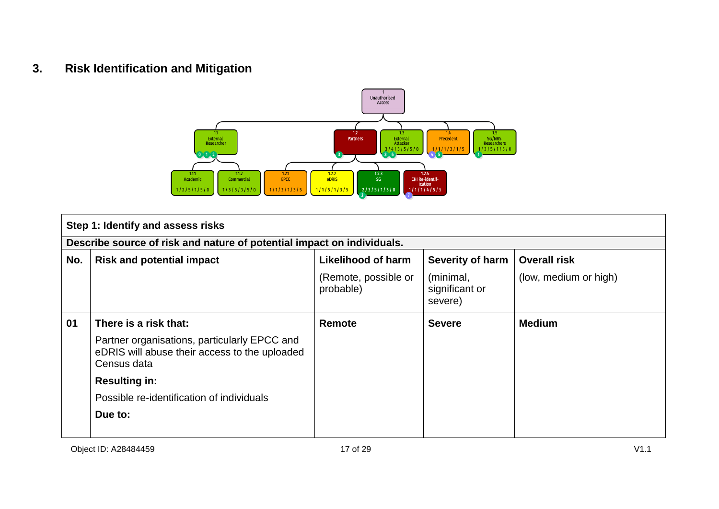### **3. Risk Identification and Mitigation**



|     | Step 1: Identify and assess risks                                                                            |                                   |                                        |                       |  |
|-----|--------------------------------------------------------------------------------------------------------------|-----------------------------------|----------------------------------------|-----------------------|--|
|     | Describe source of risk and nature of potential impact on individuals.                                       |                                   |                                        |                       |  |
| No. | <b>Risk and potential impact</b>                                                                             | Likelihood of harm                | Severity of harm                       | <b>Overall risk</b>   |  |
|     |                                                                                                              | (Remote, possible or<br>probable) | (minimal,<br>significant or<br>severe) | (low, medium or high) |  |
| 01  | There is a risk that:                                                                                        | Remote                            | <b>Severe</b>                          | <b>Medium</b>         |  |
|     | Partner organisations, particularly EPCC and<br>eDRIS will abuse their access to the uploaded<br>Census data |                                   |                                        |                       |  |
|     | <b>Resulting in:</b>                                                                                         |                                   |                                        |                       |  |
|     | Possible re-identification of individuals                                                                    |                                   |                                        |                       |  |
|     | Due to:                                                                                                      |                                   |                                        |                       |  |
|     |                                                                                                              |                                   |                                        |                       |  |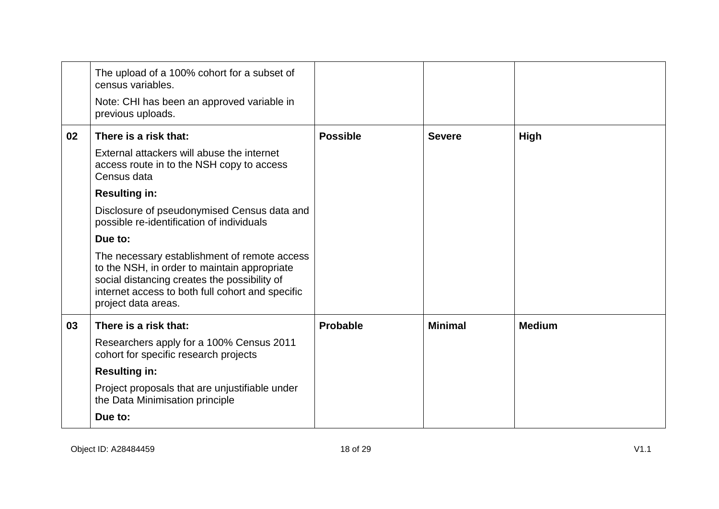|    | The upload of a 100% cohort for a subset of<br>census variables.<br>Note: CHI has been an approved variable in<br>previous uploads.                                                                                     |                 |                |               |
|----|-------------------------------------------------------------------------------------------------------------------------------------------------------------------------------------------------------------------------|-----------------|----------------|---------------|
| 02 | There is a risk that:                                                                                                                                                                                                   | <b>Possible</b> | <b>Severe</b>  | High          |
|    | External attackers will abuse the internet<br>access route in to the NSH copy to access<br>Census data                                                                                                                  |                 |                |               |
|    | <b>Resulting in:</b>                                                                                                                                                                                                    |                 |                |               |
|    | Disclosure of pseudonymised Census data and<br>possible re-identification of individuals                                                                                                                                |                 |                |               |
|    | Due to:                                                                                                                                                                                                                 |                 |                |               |
|    | The necessary establishment of remote access<br>to the NSH, in order to maintain appropriate<br>social distancing creates the possibility of<br>internet access to both full cohort and specific<br>project data areas. |                 |                |               |
| 03 | There is a risk that:                                                                                                                                                                                                   | Probable        | <b>Minimal</b> | <b>Medium</b> |
|    | Researchers apply for a 100% Census 2011<br>cohort for specific research projects                                                                                                                                       |                 |                |               |
|    | <b>Resulting in:</b>                                                                                                                                                                                                    |                 |                |               |
|    | Project proposals that are unjustifiable under<br>the Data Minimisation principle                                                                                                                                       |                 |                |               |
|    | Due to:                                                                                                                                                                                                                 |                 |                |               |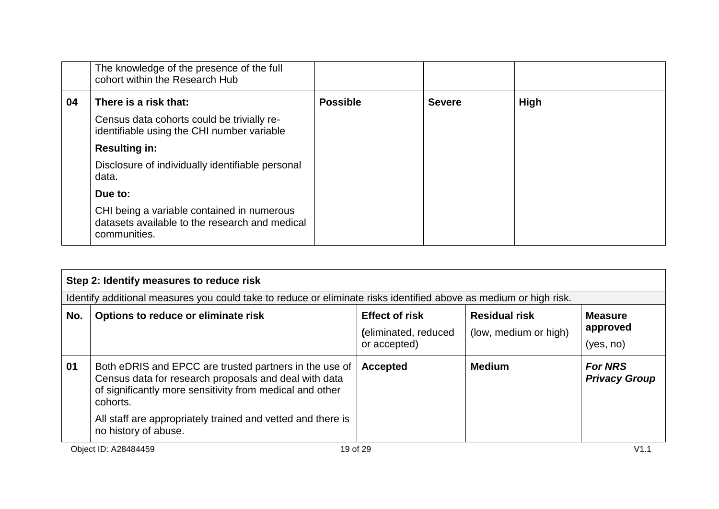|    | The knowledge of the presence of the full<br>cohort within the Research Hub                                  |                 |               |             |
|----|--------------------------------------------------------------------------------------------------------------|-----------------|---------------|-------------|
| 04 | There is a risk that:                                                                                        | <b>Possible</b> | <b>Severe</b> | <b>High</b> |
|    | Census data cohorts could be trivially re-<br>identifiable using the CHI number variable                     |                 |               |             |
|    | <b>Resulting in:</b>                                                                                         |                 |               |             |
|    | Disclosure of individually identifiable personal<br>data.                                                    |                 |               |             |
|    | Due to:                                                                                                      |                 |               |             |
|    | CHI being a variable contained in numerous<br>datasets available to the research and medical<br>communities. |                 |               |             |

|     | Step 2: Identify measures to reduce risk                                                                                                                                                |                                                               |                                               |                                         |
|-----|-----------------------------------------------------------------------------------------------------------------------------------------------------------------------------------------|---------------------------------------------------------------|-----------------------------------------------|-----------------------------------------|
|     | Identify additional measures you could take to reduce or eliminate risks identified above as medium or high risk.                                                                       |                                                               |                                               |                                         |
| No. | Options to reduce or eliminate risk                                                                                                                                                     | <b>Effect of risk</b><br>(eliminated, reduced<br>or accepted) | <b>Residual risk</b><br>(low, medium or high) | <b>Measure</b><br>approved<br>(yes, no) |
| 01  | Both eDRIS and EPCC are trusted partners in the use of<br>Census data for research proposals and deal with data<br>of significantly more sensitivity from medical and other<br>cohorts. | <b>Accepted</b>                                               | <b>Medium</b>                                 | <b>For NRS</b><br><b>Privacy Group</b>  |
|     | All staff are appropriately trained and vetted and there is<br>no history of abuse.                                                                                                     |                                                               |                                               |                                         |
|     | 19 of 29<br>Object ID: A28484459                                                                                                                                                        |                                                               |                                               | V1.1                                    |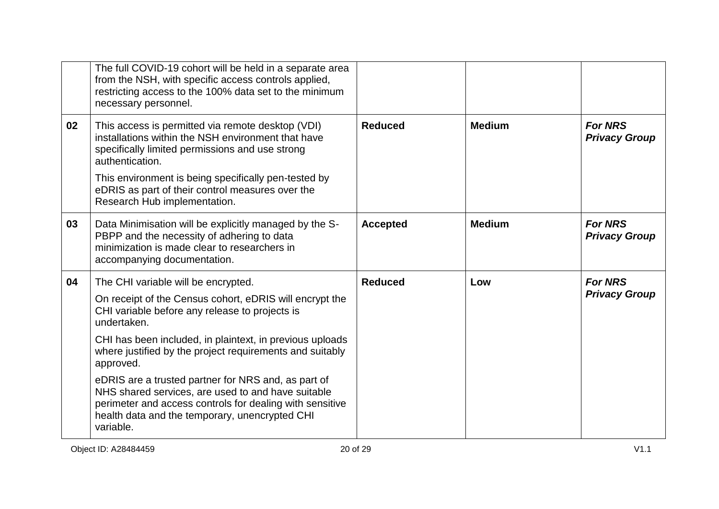|    | The full COVID-19 cohort will be held in a separate area<br>from the NSH, with specific access controls applied,<br>restricting access to the 100% data set to the minimum<br>necessary personnel.                                                                                      |                 |               |                                        |
|----|-----------------------------------------------------------------------------------------------------------------------------------------------------------------------------------------------------------------------------------------------------------------------------------------|-----------------|---------------|----------------------------------------|
| 02 | This access is permitted via remote desktop (VDI)<br>installations within the NSH environment that have<br>specifically limited permissions and use strong<br>authentication.                                                                                                           | <b>Reduced</b>  | <b>Medium</b> | <b>For NRS</b><br><b>Privacy Group</b> |
|    | This environment is being specifically pen-tested by<br>eDRIS as part of their control measures over the<br>Research Hub implementation.                                                                                                                                                |                 |               |                                        |
| 03 | Data Minimisation will be explicitly managed by the S-<br>PBPP and the necessity of adhering to data<br>minimization is made clear to researchers in<br>accompanying documentation.                                                                                                     | <b>Accepted</b> | <b>Medium</b> | <b>For NRS</b><br><b>Privacy Group</b> |
| 04 | The CHI variable will be encrypted.<br>On receipt of the Census cohort, eDRIS will encrypt the<br>CHI variable before any release to projects is<br>undertaken.<br>CHI has been included, in plaintext, in previous uploads<br>where justified by the project requirements and suitably | <b>Reduced</b>  | Low           | <b>For NRS</b><br><b>Privacy Group</b> |
|    | approved.<br>eDRIS are a trusted partner for NRS and, as part of<br>NHS shared services, are used to and have suitable<br>perimeter and access controls for dealing with sensitive<br>health data and the temporary, unencrypted CHI<br>variable.                                       |                 |               |                                        |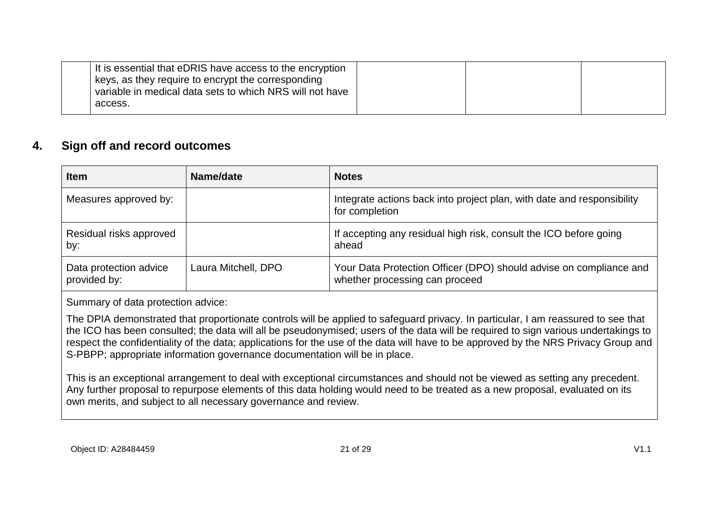| It is essential that eDRIS have access to the encryption |  |  |
|----------------------------------------------------------|--|--|
| keys, as they require to encrypt the corresponding       |  |  |
| variable in medical data sets to which NRS will not have |  |  |
| access.                                                  |  |  |
|                                                          |  |  |

### **4. Sign off and record outcomes**

| <b>Item</b>                            | Name/date           | <b>Notes</b>                                                                                         |
|----------------------------------------|---------------------|------------------------------------------------------------------------------------------------------|
| Measures approved by:                  |                     | Integrate actions back into project plan, with date and responsibility<br>for completion             |
| Residual risks approved<br>by:         |                     | If accepting any residual high risk, consult the ICO before going<br>ahead                           |
| Data protection advice<br>provided by: | Laura Mitchell, DPO | Your Data Protection Officer (DPO) should advise on compliance and<br>whether processing can proceed |

Summary of data protection advice:

The DPIA demonstrated that proportionate controls will be applied to safeguard privacy. In particular, I am reassured to see that the ICO has been consulted; the data will all be pseudonymised; users of the data will be required to sign various undertakings to respect the confidentiality of the data; applications for the use of the data will have to be approved by the NRS Privacy Group and S-PBPP; appropriate information governance documentation will be in place.

This is an exceptional arrangement to deal with exceptional circumstances and should not be viewed as setting any precedent. Any further proposal to repurpose elements of this data holding would need to be treated as a new proposal, evaluated on its own merits, and subject to all necessary governance and review.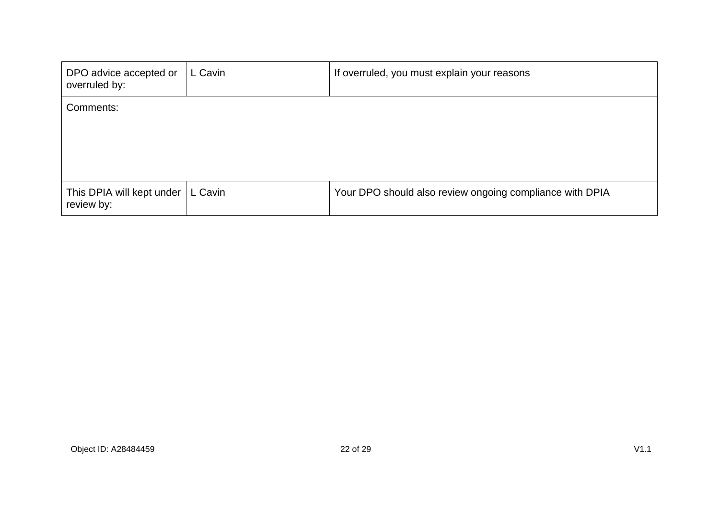| DPO advice accepted or<br>overruled by: | L Cavin | If overruled, you must explain your reasons              |
|-----------------------------------------|---------|----------------------------------------------------------|
| Comments:                               |         |                                                          |
| This DPIA will kept under<br>review by: | L Cavin | Your DPO should also review ongoing compliance with DPIA |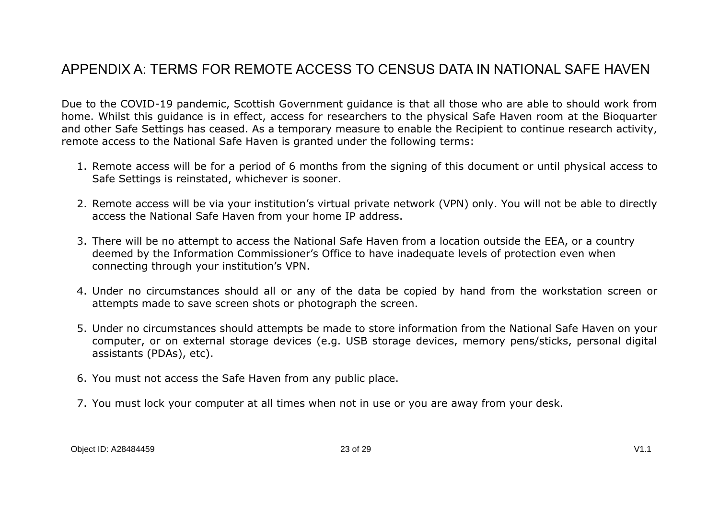### <span id="page-22-0"></span>APPENDIX A: TERMS FOR REMOTE ACCESS TO CENSUS DATA IN NATIONAL SAFE HAVEN

Due to the COVID-19 pandemic, Scottish Government guidance is that all those who are able to should work from home. Whilst this guidance is in effect, access for researchers to the physical Safe Haven room at the Bioquarter and other Safe Settings has ceased. As a temporary measure to enable the Recipient to continue research activity, remote access to the National Safe Haven is granted under the following terms:

- 1. Remote access will be for a period of 6 months from the signing of this document or until physical access to Safe Settings is reinstated, whichever is sooner.
- 2. Remote access will be via your institution's virtual private network (VPN) only. You will not be able to directly access the National Safe Haven from your home IP address.
- 3. There will be no attempt to access the National Safe Haven from a location outside the EEA, or a country deemed by the Information Commissioner's Office to have inadequate levels of protection even when connecting through your institution's VPN.
- 4. Under no circumstances should all or any of the data be copied by hand from the workstation screen or attempts made to save screen shots or photograph the screen.
- 5. Under no circumstances should attempts be made to store information from the National Safe Haven on your computer, or on external storage devices (e.g. USB storage devices, memory pens/sticks, personal digital assistants (PDAs), etc).
- 6. You must not access the Safe Haven from any public place.
- 7. You must lock your computer at all times when not in use or you are away from your desk.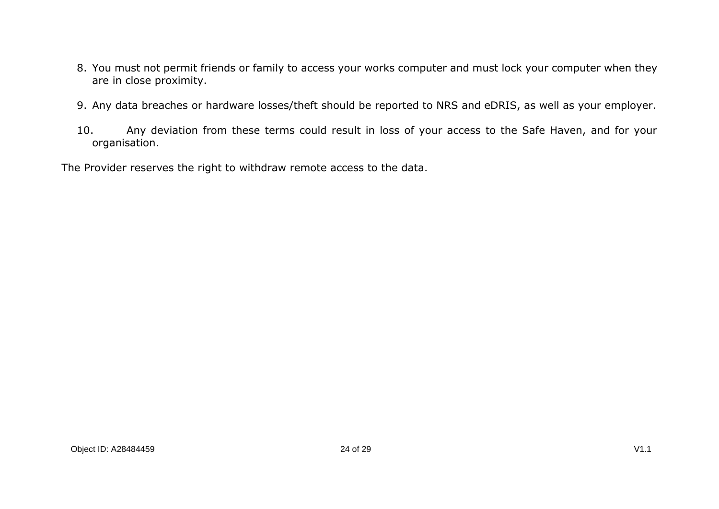- 8. You must not permit friends or family to access your works computer and must lock your computer when they are in close proximity.
- 9. Any data breaches or hardware losses/theft should be reported to NRS and eDRIS, as well as your employer.
- 10. Any deviation from these terms could result in loss of your access to the Safe Haven, and for your organisation.

The Provider reserves the right to withdraw remote access to the data.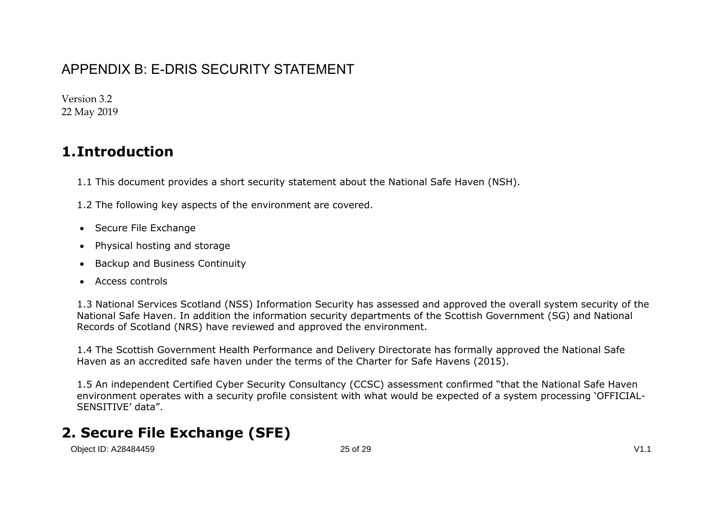## <span id="page-24-0"></span>APPENDIX B: E-DRIS SECURITY STATEMENT

Version 3.2 22 May 2019

## **1.Introduction**

- 1.1 This document provides a short security statement about the National Safe Haven (NSH).
- 1.2 The following key aspects of the environment are covered.
- Secure File Exchange
- Physical hosting and storage
- Backup and Business Continuity
- Access controls

1.3 National Services Scotland (NSS) Information Security has assessed and approved the overall system security of the National Safe Haven. In addition the information security departments of the Scottish Government (SG) and National Records of Scotland (NRS) have reviewed and approved the environment.

1.4 The Scottish Government Health Performance and Delivery Directorate has formally approved the National Safe Haven as an accredited safe haven under the terms of the Charter for Safe Havens (2015).

1.5 An independent Certified Cyber Security Consultancy (CCSC) assessment confirmed "that the National Safe Haven environment operates with a security profile consistent with what would be expected of a system processing 'OFFICIAL-SENSITIVE' data".

## **2. Secure File Exchange (SFE)**

Object ID: A28484459 25 of 29 V1.1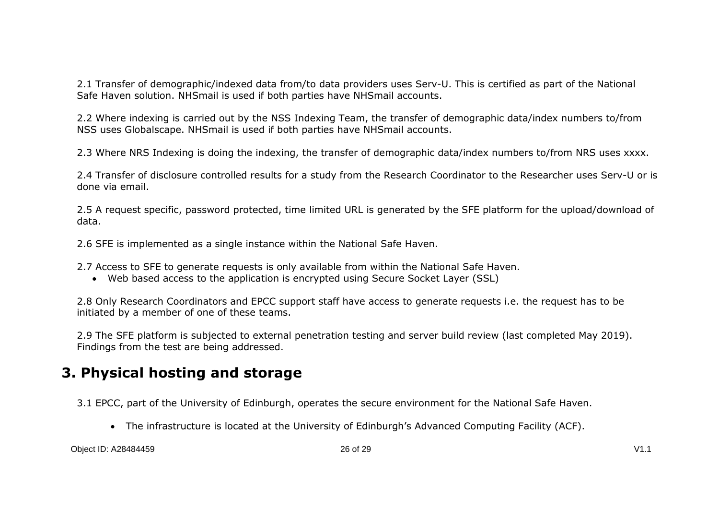2.1 Transfer of demographic/indexed data from/to data providers uses Serv-U. This is certified as part of the National Safe Haven solution. NHSmail is used if both parties have NHSmail accounts.

2.2 Where indexing is carried out by the NSS Indexing Team, the transfer of demographic data/index numbers to/from NSS uses Globalscape. NHSmail is used if both parties have NHSmail accounts.

2.3 Where NRS Indexing is doing the indexing, the transfer of demographic data/index numbers to/from NRS uses xxxx.

2.4 Transfer of disclosure controlled results for a study from the Research Coordinator to the Researcher uses Serv-U or is done via email.

2.5 A request specific, password protected, time limited URL is generated by the SFE platform for the upload/download of data.

2.6 SFE is implemented as a single instance within the National Safe Haven.

2.7 Access to SFE to generate requests is only available from within the National Safe Haven.

Web based access to the application is encrypted using Secure Socket Layer (SSL)

2.8 Only Research Coordinators and EPCC support staff have access to generate requests i.e. the request has to be initiated by a member of one of these teams.

2.9 The SFE platform is subjected to external penetration testing and server build review (last completed May 2019). Findings from the test are being addressed.

## **3. Physical hosting and storage**

3.1 EPCC, part of the University of Edinburgh, operates the secure environment for the National Safe Haven.

The infrastructure is located at the University of Edinburgh's Advanced Computing Facility (ACF).

Object ID: A28484459 26 of 29 V1.1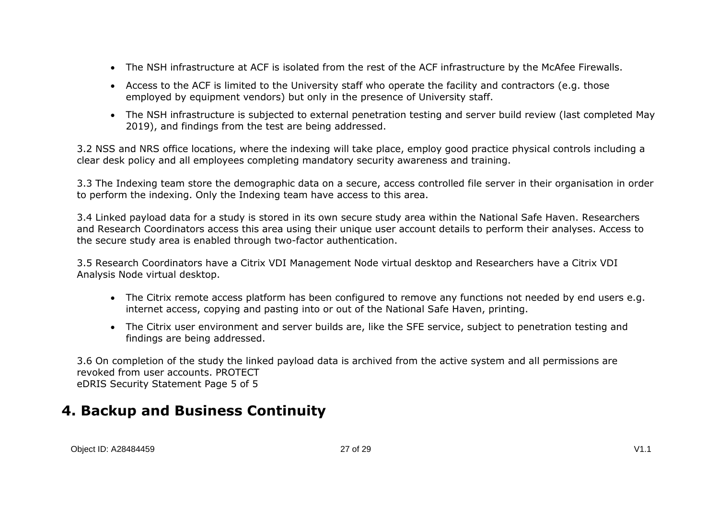- The NSH infrastructure at ACF is isolated from the rest of the ACF infrastructure by the McAfee Firewalls.
- Access to the ACF is limited to the University staff who operate the facility and contractors (e.g. those employed by equipment vendors) but only in the presence of University staff.
- The NSH infrastructure is subjected to external penetration testing and server build review (last completed May 2019), and findings from the test are being addressed.

3.2 NSS and NRS office locations, where the indexing will take place, employ good practice physical controls including a clear desk policy and all employees completing mandatory security awareness and training.

3.3 The Indexing team store the demographic data on a secure, access controlled file server in their organisation in order to perform the indexing. Only the Indexing team have access to this area.

3.4 Linked payload data for a study is stored in its own secure study area within the National Safe Haven. Researchers and Research Coordinators access this area using their unique user account details to perform their analyses. Access to the secure study area is enabled through two-factor authentication.

3.5 Research Coordinators have a Citrix VDI Management Node virtual desktop and Researchers have a Citrix VDI Analysis Node virtual desktop.

- The Citrix remote access platform has been configured to remove any functions not needed by end users e.g. internet access, copying and pasting into or out of the National Safe Haven, printing.
- The Citrix user environment and server builds are, like the SFE service, subject to penetration testing and findings are being addressed.

3.6 On completion of the study the linked payload data is archived from the active system and all permissions are revoked from user accounts. PROTECT eDRIS Security Statement Page 5 of 5

## **4. Backup and Business Continuity**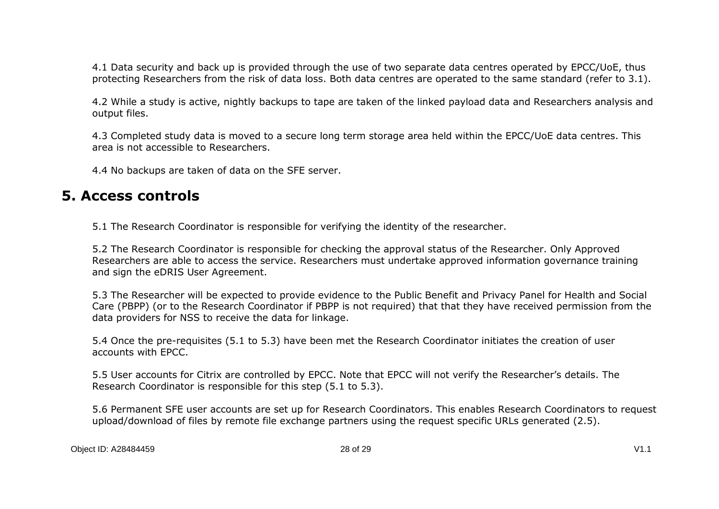4.1 Data security and back up is provided through the use of two separate data centres operated by EPCC/UoE, thus protecting Researchers from the risk of data loss. Both data centres are operated to the same standard (refer to 3.1).

4.2 While a study is active, nightly backups to tape are taken of the linked payload data and Researchers analysis and output files.

4.3 Completed study data is moved to a secure long term storage area held within the EPCC/UoE data centres. This area is not accessible to Researchers.

4.4 No backups are taken of data on the SFE server.

### **5. Access controls**

5.1 The Research Coordinator is responsible for verifying the identity of the researcher.

5.2 The Research Coordinator is responsible for checking the approval status of the Researcher. Only Approved Researchers are able to access the service. Researchers must undertake approved information governance training and sign the eDRIS User Agreement.

5.3 The Researcher will be expected to provide evidence to the Public Benefit and Privacy Panel for Health and Social Care (PBPP) (or to the Research Coordinator if PBPP is not required) that that they have received permission from the data providers for NSS to receive the data for linkage.

5.4 Once the pre-requisites (5.1 to 5.3) have been met the Research Coordinator initiates the creation of user accounts with EPCC.

5.5 User accounts for Citrix are controlled by EPCC. Note that EPCC will not verify the Researcher's details. The Research Coordinator is responsible for this step (5.1 to 5.3).

5.6 Permanent SFE user accounts are set up for Research Coordinators. This enables Research Coordinators to request upload/download of files by remote file exchange partners using the request specific URLs generated (2.5).